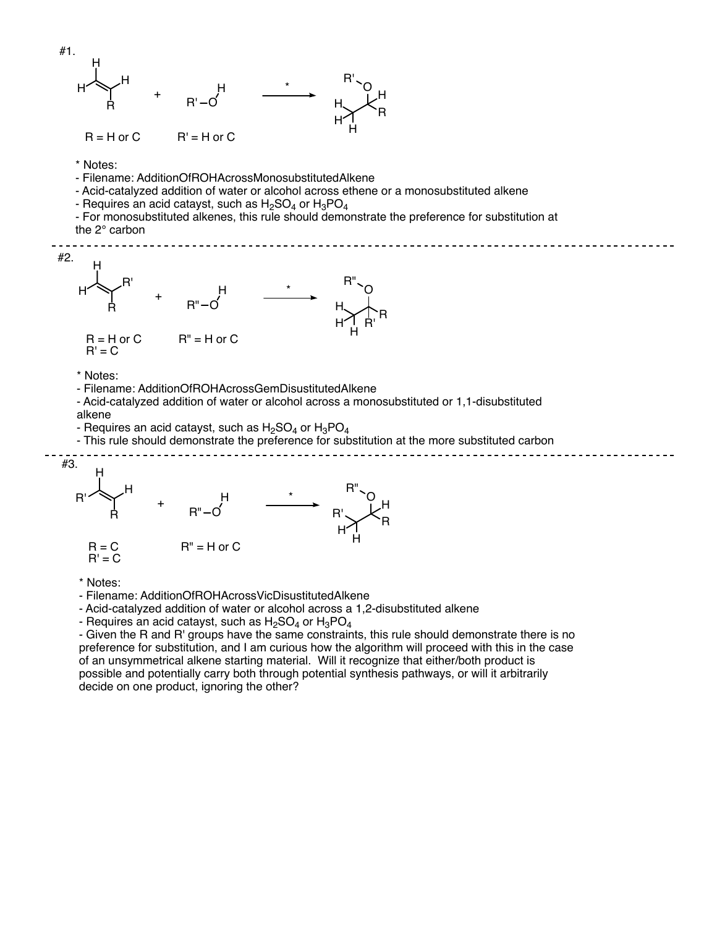

\* Notes:

- Filename: AdditionOfROHAcrossVicDisustitutedAlkene

- Acid-catalyzed addition of water or alcohol across a 1,2-disubstituted alkene

- Requires an acid catayst, such as  $H_2SO_4$  or  $H_3PO_4$ 

- Given the R and R' groups have the same constraints, this rule should demonstrate there is no preference for substitution, and I am curious how the algorithm will proceed with this in the case of an unsymmetrical alkene starting material. Will it recognize that either/both product is possible and potentially carry both through potential synthesis pathways, or will it arbitrarily decide on one product, ignoring the other?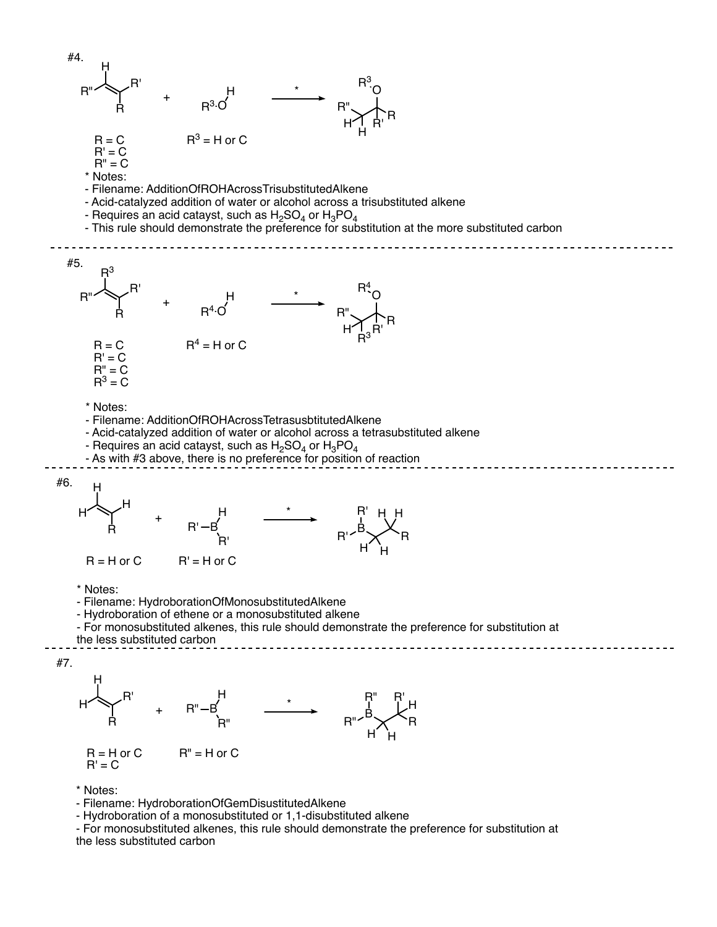

- Hydroboration of a monosubstituted or 1,1-disubstituted alkene

- For monosubstituted alkenes, this rule should demonstrate the preference for substitution at the less substituted carbon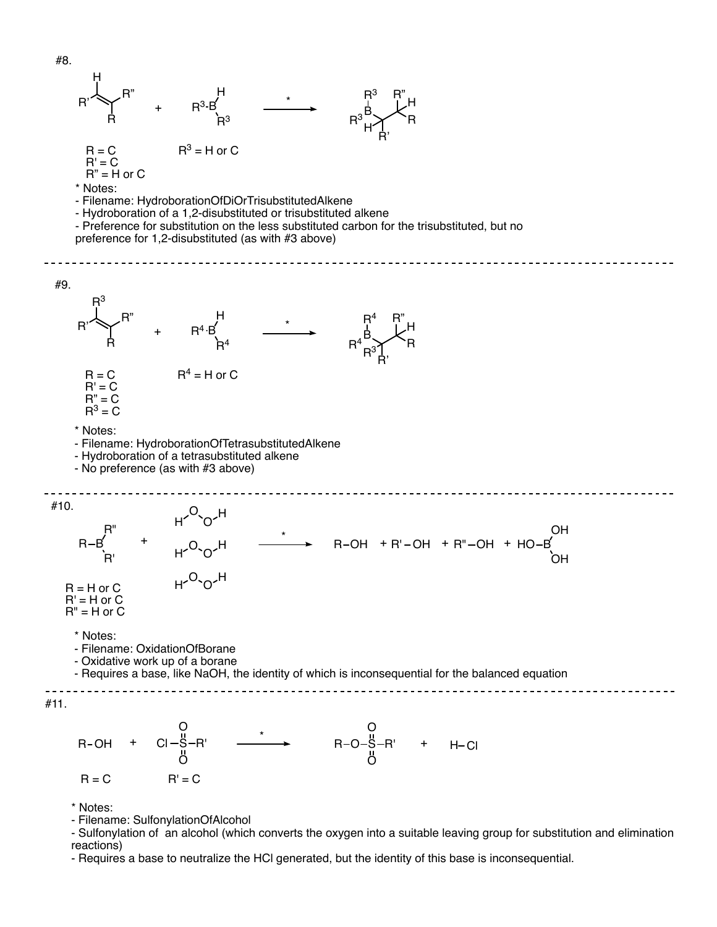

\* Notes:

- Filename: SulfonylationOfAlcohol

- Sulfonylation of an alcohol (which converts the oxygen into a suitable leaving group for substitution and elimination reactions)

- Requires a base to neutralize the HCl generated, but the identity of this base is inconsequential.